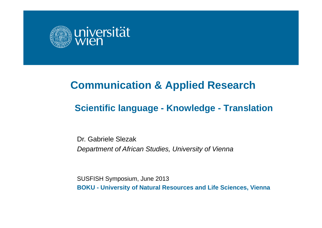

# **Communication & Applied Research**

## **Scientific language - Knowledge - Translation**

Dr. Gabriele Slezak*Department of African Studies, University of Vienna*

SUSFISH Symposium, June 2013 **BOKU - University of Natural Resources and Life Sciences, Vienna**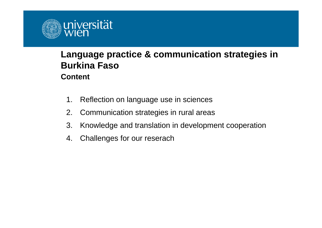

#### **Language practice & communication strategies in Burkina Faso Content**

- 1. Reflection on language use in sciences
- 2. Communication strategies in rural areas
- 3. Knowledge and translation in development cooperation
- 4. Challenges for our reserach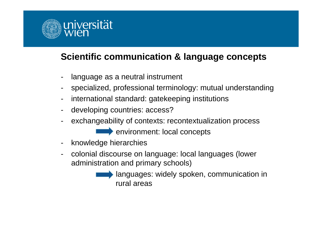

## **Scientific communication & language concepts**

- language as a neutral instrument
- specialized, professional terminology: mutual understanding
- international standard: gatekeeping institutions
- developing countries: access?
- exchangeability of contexts: recontextualization process

environment: local concepts

- knowledge hierarchies
- colonial discourse on language: local languages (lower administration and primary schools)
	- languages: widely spoken, communication in rural areas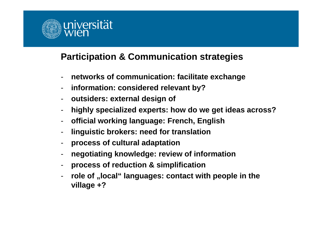

## **Participation & Communication strategies**

- **networks of communication: facilitate exchange**
- **information: considered relevant by?**
- **outsiders: external design of**
- **highly specialized experts: how do we get ideas across?**
- **official working language: French, English**
- **linguistic brokers: need for translation**
- **process of cultural adaptation**
- **negotiating knowledge: review of information**
- **process of reduction & simplification**
- **role of "local" languages: contact with people in the village +?**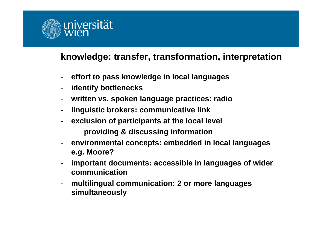

#### **knowledge: transfer, transformation, interpretation**

- **effort to pass knowledge in local languages**
- **identify bottlenecks**
- **written vs. spoken language practices: radio**
- **linguistic brokers: communicative link**
- **exclusion of participants at the local level providing & discussing information**
- **environmental concepts: embedded in local languages e.g. Moore?**
- **important documents: accessible in languages of wider communication**
- **multilingual communication: 2 or more languages simultaneously**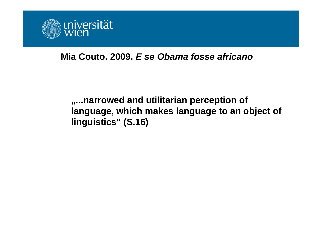

#### **Mia Couto. 2009.** *E se Obama fosse africano*

**"...narrowed and utilitarian perception of language, which makes language to an object of linguistics" (S.16)**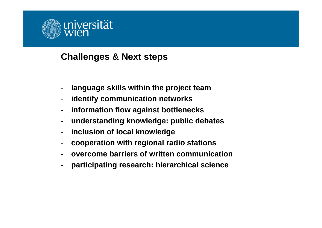

#### **Challenges & Next steps**

- **language skills within the project team**
- **identify communication networks**
- **information flow against bottlenecks**
- **understanding knowledge: public debates**
- $\blacksquare$ **inclusion of local knowledge**
- **cooperation with regional radio stations**
- **overcome barriers of written communication**
- **participating research: hierarchical science**